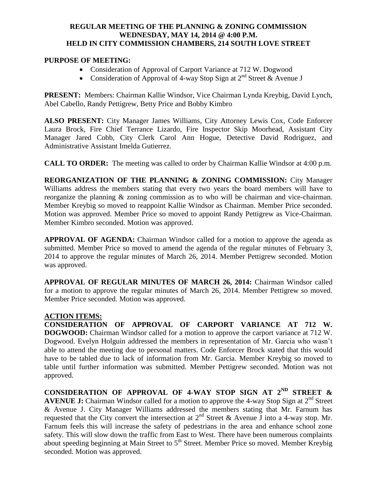## **REGULAR MEETING OF THE PLANNING & ZONING COMMISSION WEDNESDAY, MAY 14, 2014 @ 4:00 P.M. HELD IN CITY COMMISSION CHAMBERS, 214 SOUTH LOVE STREET**

### **PURPOSE OF MEETING:**

- Consideration of Approval of Carport Variance at 712 W. Dogwood
- Consideration of Approval of 4-way Stop Sign at  $2^{nd}$  Street & Avenue J

**PRESENT:** Members: Chairman Kallie Windsor, Vice Chairman Lynda Kreybig, David Lynch, Abel Cabello, Randy Pettigrew, Betty Price and Bobby Kimbro

**ALSO PRESENT:** City Manager James Williams, City Attorney Lewis Cox, Code Enforcer Laura Brock, Fire Chief Terrance Lizardo, Fire Inspector Skip Moorhead, Assistant City Manager Jared Cobb, City Clerk Carol Ann Hogue, Detective David Rodriguez, and Administrative Assistant Imelda Gutierrez.

**CALL TO ORDER:** The meeting was called to order by Chairman Kallie Windsor at 4:00 p.m.

**REORGANIZATION OF THE PLANNING & ZONING COMMISSION:** City Manager Williams address the members stating that every two years the board members will have to reorganize the planning & zoning commission as to who will be chairman and vice-chairman. Member Kreybig so moved to reappoint Kallie Windsor as Chairman. Member Price seconded. Motion was approved. Member Price so moved to appoint Randy Pettigrew as Vice-Chairman. Member Kimbro seconded. Motion was approved.

**APPROVAL OF AGENDA:** Chairman Windsor called for a motion to approve the agenda as submitted. Member Price so moved to amend the agenda of the regular minutes of February 3, 2014 to approve the regular minutes of March 26, 2014. Member Pettigrew seconded. Motion was approved.

**APPROVAL OF REGULAR MINUTES OF MARCH 26, 2014:** Chairman Windsor called for a motion to approve the regular minutes of March 26, 2014. Member Pettigrew so moved. Member Price seconded. Motion was approved.

### **ACTION ITEMS:**

**CONSIDERATION OF APPROVAL OF CARPORT VARIANCE AT 712 W. DOGWOOD:** Chairman Windsor called for a motion to approve the carport variance at 712 W. Dogwood. Evelyn Holguin addressed the members in representation of Mr. Garcia who wasn't able to attend the meeting due to personal matters. Code Enforcer Brock stated that this would have to be tabled due to lack of information from Mr. Garcia. Member Kreybig so moved to table until further information was submitted. Member Pettigrew seconded. Motion was not approved.

**CONSIDERATION OF APPROVAL OF 4-WAY STOP SIGN AT 2ND STREET & AVENUE J:** Chairman Windsor called for a motion to approve the 4-way Stop Sign at 2<sup>nd</sup> Street & Avenue J. City Manager Williams addressed the members stating that Mr. Farnum has requested that the City convert the intersection at  $2<sup>nd</sup>$  Street & Avenue J into a 4-way stop. Mr. Farnum feels this will increase the safety of pedestrians in the area and enhance school zone safety. This will slow down the traffic from East to West. There have been numerous complaints about speeding beginning at Main Street to 5<sup>th</sup> Street. Member Price so moved. Member Kreybig seconded. Motion was approved.